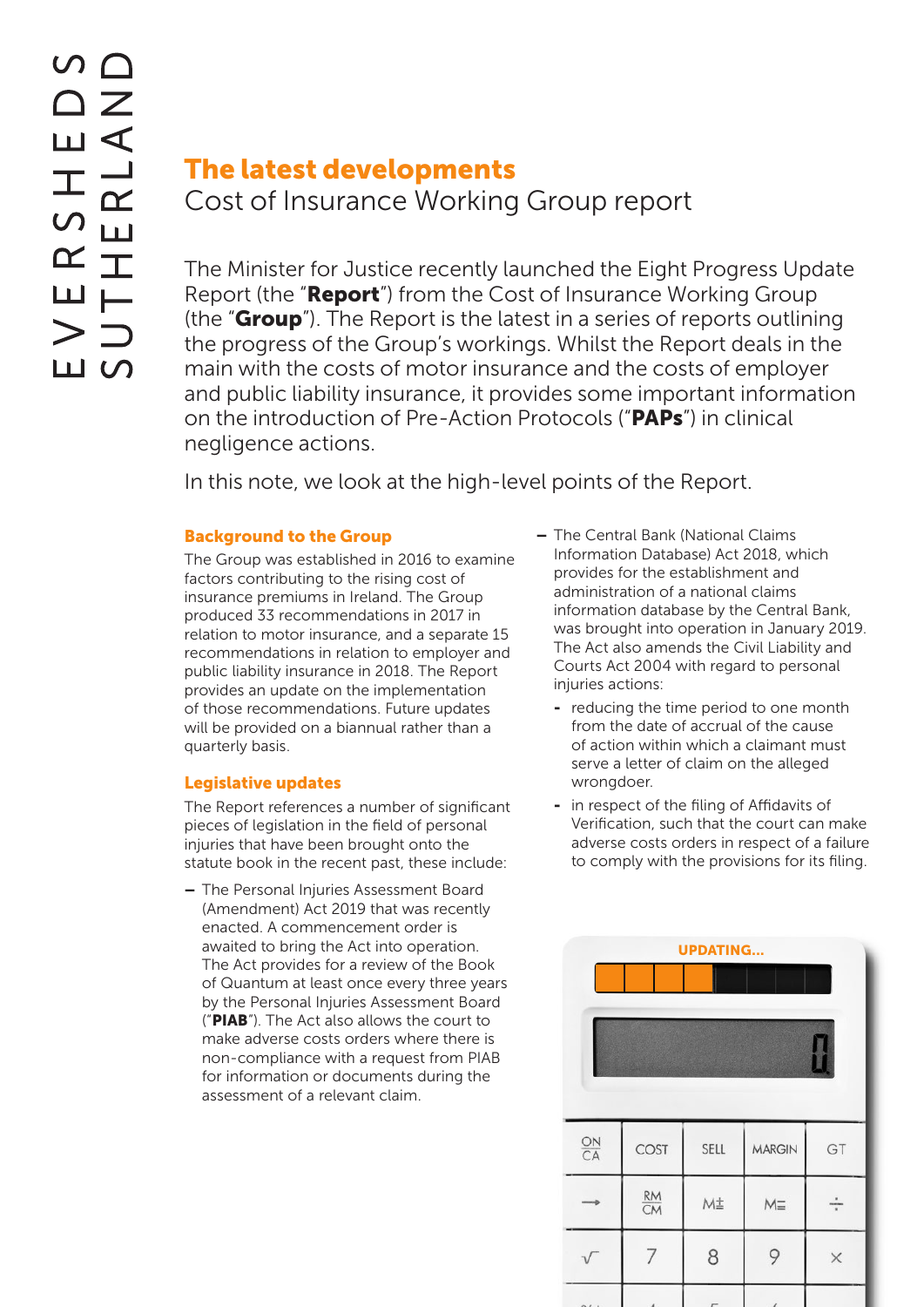# The latest developments Cost of Insurance Working Group report

The Minister for Justice recently launched the Eight Progress Update Report (the "**Report**") from the Cost of Insurance Working Group (the "**Group**"). The Report is the latest in a series of reports outlining the progress of the Group's workings. Whilst the Report deals in the main with the costs of motor insurance and the costs of employer and public liability insurance, it provides some important information on the introduction of Pre-Action Protocols ("**PAPs**") in clinical negligence actions.

In this note, we look at the high-level points of the Report.

# Background to the Group

The Group was established in 2016 to examine factors contributing to the rising cost of insurance premiums in Ireland. The Group produced 33 recommendations in 2017 in relation to motor insurance, and a separate 15 recommendations in relation to employer and public liability insurance in 2018. The Report provides an update on the implementation of those recommendations. Future updates will be provided on a biannual rather than a quarterly basis.

## Legislative updates

The Report references a number of significant pieces of legislation in the field of personal injuries that have been brought onto the statute book in the recent past, these include:

– The Personal Injuries Assessment Board (Amendment) Act 2019 that was recently enacted. A commencement order is awaited to bring the Act into operation. The Act provides for a review of the Book of Quantum at least once every three years by the Personal Injuries Assessment Board ("PIAB"). The Act also allows the court to make adverse costs orders where there is non-compliance with a request from PIAB for information or documents during the assessment of a relevant claim.

- The Central Bank (National Claims Information Database) Act 2018, which provides for the establishment and administration of a national claims information database by the Central Bank, was brought into operation in January 2019. The Act also amends the Civil Liability and Courts Act 2004 with regard to personal injuries actions:
	- reducing the time period to one month from the date of accrual of the cause of action within which a claimant must serve a letter of claim on the alleged wrongdoer.
	- in respect of the filing of Affidavits of Verification, such that the court can make adverse costs orders in respect of a failure to comply with the provisions for its filing.